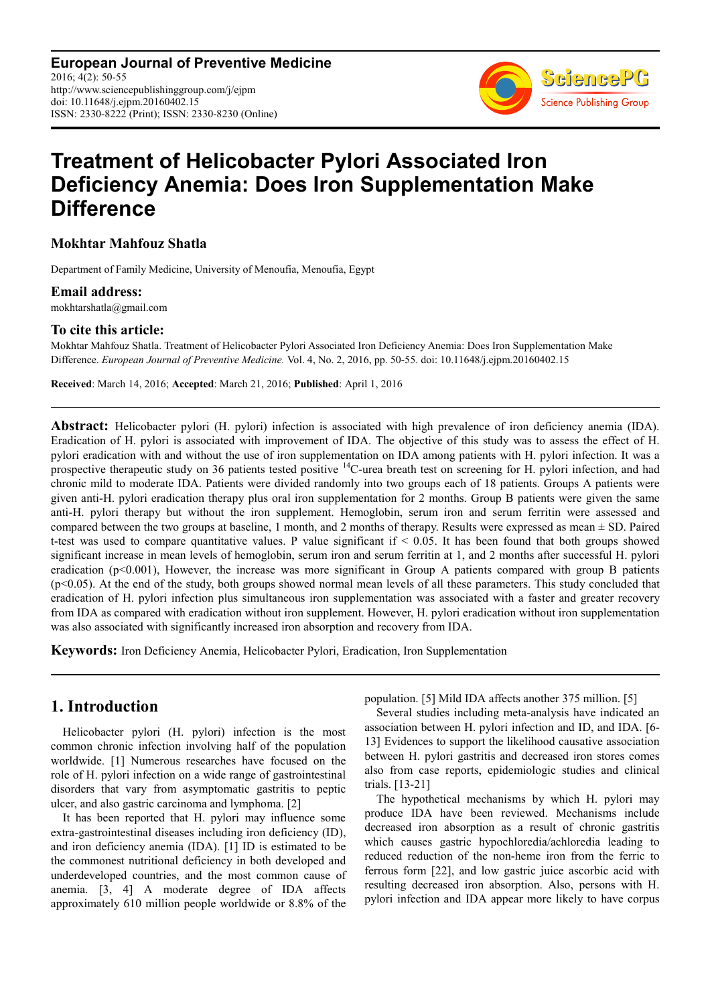**European Journal of Preventive Medicine** 2016; 4(2): 50-55 http://www.sciencepublishinggroup.com/j/ejpm doi: 10.11648/j.ejpm.20160402.15 ISSN: 2330-8222 (Print); ISSN: 2330-8230 (Online)



# **Treatment of Helicobacter Pylori Associated Iron Deficiency Anemia: Does Iron Supplementation Make Difference**

**Mokhtar Mahfouz Shatla** 

Department of Family Medicine, University of Menoufia, Menoufia, Egypt

#### **Email address:**

mokhtarshatla@gmail.com

#### **To cite this article:**

Mokhtar Mahfouz Shatla. Treatment of Helicobacter Pylori Associated Iron Deficiency Anemia: Does Iron Supplementation Make Difference. *European Journal of Preventive Medicine.* Vol. 4, No. 2, 2016, pp. 50-55. doi: 10.11648/j.ejpm.20160402.15

**Received**: March 14, 2016; **Accepted**: March 21, 2016; **Published**: April 1, 2016

**Abstract:** Helicobacter pylori (H. pylori) infection is associated with high prevalence of iron deficiency anemia (IDA). Eradication of H. pylori is associated with improvement of IDA. The objective of this study was to assess the effect of H. pylori eradication with and without the use of iron supplementation on IDA among patients with H. pylori infection. It was a prospective therapeutic study on 36 patients tested positive <sup>14</sup>C-urea breath test on screening for H. pylori infection, and had chronic mild to moderate IDA. Patients were divided randomly into two groups each of 18 patients. Groups A patients were given anti-H. pylori eradication therapy plus oral iron supplementation for 2 months. Group B patients were given the same anti-H. pylori therapy but without the iron supplement. Hemoglobin, serum iron and serum ferritin were assessed and compared between the two groups at baseline, 1 month, and 2 months of therapy. Results were expressed as mean  $\pm$  SD. Paired t-test was used to compare quantitative values. P value significant if < 0.05. It has been found that both groups showed significant increase in mean levels of hemoglobin, serum iron and serum ferritin at 1, and 2 months after successful H. pylori eradication  $(p<0.001)$ , However, the increase was more significant in Group A patients compared with group B patients  $(p<0.05)$ . At the end of the study, both groups showed normal mean levels of all these parameters. This study concluded that eradication of H. pylori infection plus simultaneous iron supplementation was associated with a faster and greater recovery from IDA as compared with eradication without iron supplement. However, H. pylori eradication without iron supplementation was also associated with significantly increased iron absorption and recovery from IDA.

**Keywords:** Iron Deficiency Anemia, Helicobacter Pylori, Eradication, Iron Supplementation

## **1. Introduction**

Helicobacter pylori (H. pylori) infection is the most common chronic infection involving half of the population worldwide. [1] Numerous researches have focused on the role of H. pylori infection on a wide range of gastrointestinal disorders that vary from asymptomatic gastritis to peptic ulcer, and also gastric carcinoma and lymphoma. [2]

It has been reported that H. pylori may influence some extra-gastrointestinal diseases including iron deficiency (ID), and iron deficiency anemia (IDA). [1] ID is estimated to be the commonest nutritional deficiency in both developed and underdeveloped countries, and the most common cause of anemia. [3, 4] A moderate degree of IDA affects approximately 610 million people worldwide or 8.8% of the population. [5] Mild IDA affects another 375 million. [5]

Several studies including meta-analysis have indicated an association between H. pylori infection and ID, and IDA. [6- 13] Evidences to support the likelihood causative association between H. pylori gastritis and decreased iron stores comes also from case reports, epidemiologic studies and clinical trials. [13-21]

The hypothetical mechanisms by which H. pylori may produce IDA have been reviewed. Mechanisms include decreased iron absorption as a result of chronic gastritis which causes gastric hypochloredia/achloredia leading to reduced reduction of the non-heme iron from the ferric to ferrous form [22], and low gastric juice ascorbic acid with resulting decreased iron absorption. Also, persons with H. pylori infection and IDA appear more likely to have corpus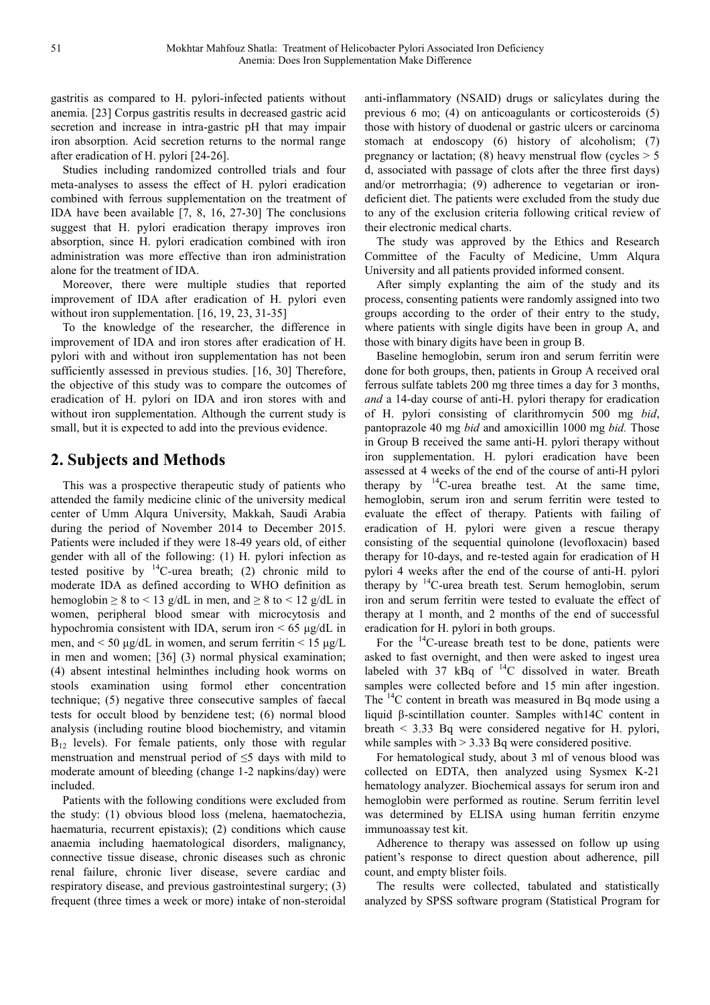gastritis as compared to H. pylori-infected patients without anemia. [23] Corpus gastritis results in decreased gastric acid secretion and increase in intra-gastric pH that may impair iron absorption. Acid secretion returns to the normal range after eradication of H. pylori [24-26].

Studies including randomized controlled trials and four meta-analyses to assess the effect of H. pylori eradication combined with ferrous supplementation on the treatment of IDA have been available [7, 8, 16, 27-30] The conclusions suggest that H. pylori eradication therapy improves iron absorption, since H. pylori eradication combined with iron administration was more effective than iron administration alone for the treatment of IDA.

Moreover, there were multiple studies that reported improvement of IDA after eradication of H. pylori even without iron supplementation. [16, 19, 23, 31-35]

To the knowledge of the researcher, the difference in improvement of IDA and iron stores after eradication of H. pylori with and without iron supplementation has not been sufficiently assessed in previous studies. [16, 30] Therefore, the objective of this study was to compare the outcomes of eradication of H. pylori on IDA and iron stores with and without iron supplementation. Although the current study is small, but it is expected to add into the previous evidence.

## **2. Subjects and Methods**

This was a prospective therapeutic study of patients who attended the family medicine clinic of the university medical center of Umm Alqura University, Makkah, Saudi Arabia during the period of November 2014 to December 2015. Patients were included if they were 18-49 years old, of either gender with all of the following: (1) H. pylori infection as tested positive by  $^{14}$ C-urea breath; (2) chronic mild to moderate IDA as defined according to WHO definition as hemoglobin  $\geq 8$  to < 13 g/dL in men, and  $\geq 8$  to < 12 g/dL in women, peripheral blood smear with microcytosis and hypochromia consistent with IDA, serum iron  $\leq 65 \mu g/dL$  in men, and  $\leq 50 \mu g/dL$  in women, and serum ferritin  $\leq 15 \mu g/L$ in men and women; [36] (3) normal physical examination; (4) absent intestinal helminthes including hook worms on stools examination using formol ether concentration technique; (5) negative three consecutive samples of faecal tests for occult blood by benzidene test; (6) normal blood analysis (including routine blood biochemistry, and vitamin  $B_{12}$  levels). For female patients, only those with regular menstruation and menstrual period of ≤5 days with mild to moderate amount of bleeding (change 1-2 napkins/day) were included.

Patients with the following conditions were excluded from the study: (1) obvious blood loss (melena, haematochezia, haematuria, recurrent epistaxis); (2) conditions which cause anaemia including haematological disorders, malignancy, connective tissue disease, chronic diseases such as chronic renal failure, chronic liver disease, severe cardiac and respiratory disease, and previous gastrointestinal surgery; (3) frequent (three times a week or more) intake of non-steroidal

anti-inflammatory (NSAID) drugs or salicylates during the previous 6 mo; (4) on anticoagulants or corticosteroids (5) those with history of duodenal or gastric ulcers or carcinoma stomach at endoscopy (6) history of alcoholism; (7) pregnancy or lactation; (8) heavy menstrual flow (cycles  $> 5$ d, associated with passage of clots after the three first days) and/or metrorrhagia; (9) adherence to vegetarian or irondeficient diet. The patients were excluded from the study due to any of the exclusion criteria following critical review of their electronic medical charts.

The study was approved by the Ethics and Research Committee of the Faculty of Medicine, Umm Alqura University and all patients provided informed consent.

After simply explanting the aim of the study and its process, consenting patients were randomly assigned into two groups according to the order of their entry to the study, where patients with single digits have been in group A, and those with binary digits have been in group B.

Baseline hemoglobin, serum iron and serum ferritin were done for both groups, then, patients in Group A received oral ferrous sulfate tablets 200 mg three times a day for 3 months, *and* a 14-day course of anti-H. pylori therapy for eradication of H. pylori consisting of clarithromycin 500 mg *bid*, pantoprazole 40 mg *bid* and amoxicillin 1000 mg *bid.* Those in Group B received the same anti-H. pylori therapy without iron supplementation. H. pylori eradication have been assessed at 4 weeks of the end of the course of anti-H pylori therapy by  $^{14}$ C-urea breathe test. At the same time, hemoglobin, serum iron and serum ferritin were tested to evaluate the effect of therapy. Patients with failing of eradication of H. pylori were given a rescue therapy consisting of the sequential quinolone (levofloxacin) based therapy for 10-days, and re-tested again for eradication of H pylori 4 weeks after the end of the course of anti-H. pylori therapy by  $^{14}$ C-urea breath test. Serum hemoglobin, serum iron and serum ferritin were tested to evaluate the effect of therapy at 1 month, and 2 months of the end of successful eradication for H. pylori in both groups.

For the  $^{14}$ C-urease breath test to be done, patients were asked to fast overnight, and then were asked to ingest urea labeled with 37 kBq of  $^{14}$ C dissolved in water. Breath samples were collected before and 15 min after ingestion. The  $^{14}$ C content in breath was measured in Bq mode using a liquid β-scintillation counter. Samples with14C content in breath < 3.33 Bq were considered negative for H. pylori, while samples with  $>$  3.33 Bq were considered positive.

For hematological study, about 3 ml of venous blood was collected on EDTA, then analyzed using Sysmex K-21 hematology analyzer. Biochemical assays for serum iron and hemoglobin were performed as routine. Serum ferritin level was determined by ELISA using human ferritin enzyme immunoassay test kit.

Adherence to therapy was assessed on follow up using patient's response to direct question about adherence, pill count, and empty blister foils.

The results were collected, tabulated and statistically analyzed by SPSS software program (Statistical Program for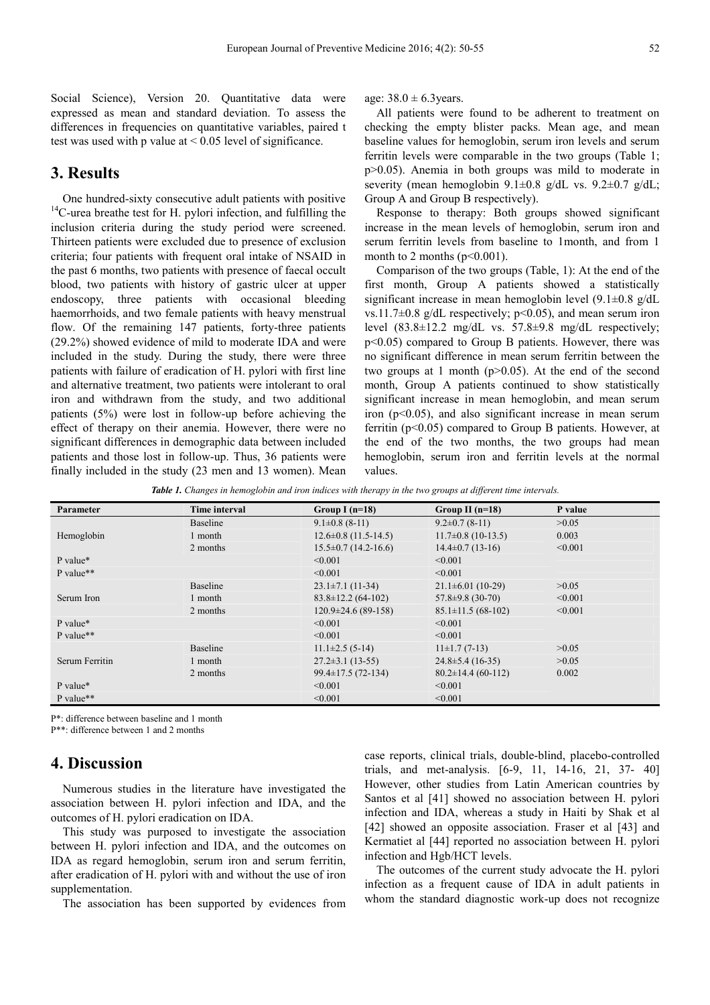Social Science), Version 20. Quantitative data were expressed as mean and standard deviation. To assess the differences in frequencies on quantitative variables, paired t test was used with p value at  $\leq 0.05$  level of significance.

#### **3. Results**

One hundred-sixty consecutive adult patients with positive <sup>14</sup>C-urea breathe test for H. pylori infection, and fulfilling the inclusion criteria during the study period were screened. Thirteen patients were excluded due to presence of exclusion criteria; four patients with frequent oral intake of NSAID in the past 6 months, two patients with presence of faecal occult blood, two patients with history of gastric ulcer at upper endoscopy, three patients with occasional bleeding haemorrhoids, and two female patients with heavy menstrual flow. Of the remaining 147 patients, forty-three patients (29.2%) showed evidence of mild to moderate IDA and were included in the study. During the study, there were three patients with failure of eradication of H. pylori with first line and alternative treatment, two patients were intolerant to oral iron and withdrawn from the study, and two additional patients (5%) were lost in follow-up before achieving the effect of therapy on their anemia. However, there were no significant differences in demographic data between included patients and those lost in follow-up. Thus, 36 patients were finally included in the study (23 men and 13 women). Mean

age:  $38.0 \pm 6.3$  years.

All patients were found to be adherent to treatment on checking the empty blister packs. Mean age, and mean baseline values for hemoglobin, serum iron levels and serum ferritin levels were comparable in the two groups (Table 1; p>0.05). Anemia in both groups was mild to moderate in severity (mean hemoglobin  $9.1 \pm 0.8$  g/dL vs.  $9.2 \pm 0.7$  g/dL; Group A and Group B respectively).

Response to therapy: Both groups showed significant increase in the mean levels of hemoglobin, serum iron and serum ferritin levels from baseline to 1month, and from 1 month to 2 months  $(p<0.001)$ .

Comparison of the two groups (Table, 1): At the end of the first month, Group A patients showed a statistically significant increase in mean hemoglobin level (9.1±0.8 g/dL vs.11.7 $\pm$ 0.8 g/dL respectively; p<0.05), and mean serum iron level (83.8±12.2 mg/dL vs. 57.8±9.8 mg/dL respectively; p<0.05) compared to Group B patients. However, there was no significant difference in mean serum ferritin between the two groups at 1 month ( $p > 0.05$ ). At the end of the second month, Group A patients continued to show statistically significant increase in mean hemoglobin, and mean serum iron  $(p<0.05)$ , and also significant increase in mean serum ferritin ( $p<0.05$ ) compared to Group B patients. However, at the end of the two months, the two groups had mean hemoglobin, serum iron and ferritin levels at the normal values.

*Table 1. Changes in hemoglobin and iron indices with therapy in the two groups at different time intervals.* 

| <b>Parameter</b> | <b>Time interval</b> | Group I $(n=18)$           | Group II $(n=18)$        | P value |
|------------------|----------------------|----------------------------|--------------------------|---------|
|                  | Baseline             | $9.1 \pm 0.8$ (8-11)       | $9.2\pm0.7(8-11)$        | >0.05   |
| Hemoglobin       | 1 month              | $12.6 \pm 0.8$ (11.5-14.5) | $11.7\pm0.8$ (10-13.5)   | 0.003   |
|                  | 2 months             | $15.5\pm0.7(14.2-16.6)$    | $14.4\pm 0.7(13-16)$     | < 0.001 |
| P value*         |                      | < 0.001                    | < 0.001                  |         |
| P value**        |                      | < 0.001                    | < 0.001                  |         |
|                  | <b>Baseline</b>      | $23.1 \pm 7.1$ (11-34)     | $21.1\pm 6.01(10-29)$    | >0.05   |
| Serum Iron       | 1 month              | $83.8 \pm 12.2$ (64-102)   | $57.8 \pm 9.8$ (30-70)   | < 0.001 |
|                  | 2 months             | $120.9\pm24.6(89-158)$     | $85.1 \pm 11.5(68-102)$  | < 0.001 |
| P value*         |                      | $\leq 0.001$               | < 0.001                  |         |
| P value**        |                      | < 0.001                    | < 0.001                  |         |
|                  | Baseline             | $11.1\pm2.5(5-14)$         | $11\pm1.7(7-13)$         | >0.05   |
| Serum Ferritin   | 1 month              | $27.2 \pm 3.1$ (13-55)     | $24.8 \pm 5.4(16-35)$    | >0.05   |
|                  | 2 months             | $99.4 \pm 17.5(72 - 134)$  | $80.2 \pm 14.4$ (60-112) | 0.002   |
| P value*         |                      | < 0.001                    | < 0.001                  |         |
| P value**        |                      | < 0.001                    | < 0.001                  |         |

P\*: difference between baseline and 1 month

P\*\*: difference between 1 and 2 months

## **4. Discussion**

Numerous studies in the literature have investigated the association between H. pylori infection and IDA, and the outcomes of H. pylori eradication on IDA.

This study was purposed to investigate the association between H. pylori infection and IDA, and the outcomes on IDA as regard hemoglobin, serum iron and serum ferritin, after eradication of H. pylori with and without the use of iron supplementation.

The association has been supported by evidences from

case reports, clinical trials, double-blind, placebo-controlled trials, and met-analysis. [6-9, 11, 14-16, 21, 37- 40] However, other studies from Latin American countries by Santos et al [41] showed no association between H. pylori infection and IDA, whereas a study in Haiti by Shak et al [42] showed an opposite association. Fraser et al [43] and Kermatiet al [44] reported no association between H. pylori infection and Hgb/HCT levels.

The outcomes of the current study advocate the H. pylori infection as a frequent cause of IDA in adult patients in whom the standard diagnostic work-up does not recognize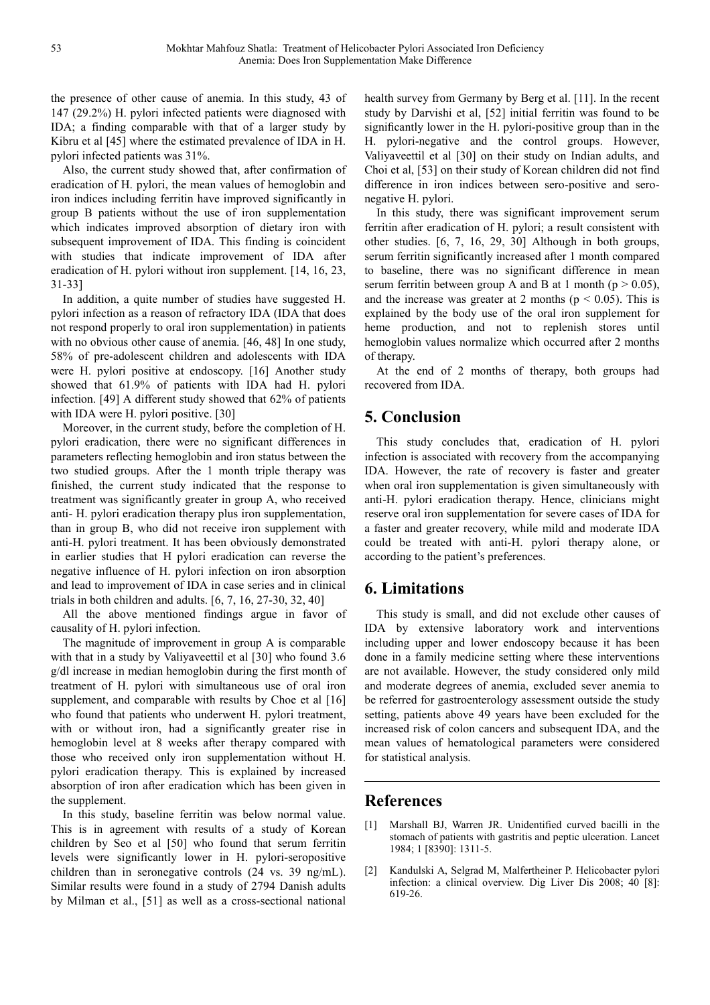the presence of other cause of anemia. In this study, 43 of 147 (29.2%) H. pylori infected patients were diagnosed with IDA; a finding comparable with that of a larger study by Kibru et al [45] where the estimated prevalence of IDA in H. pylori infected patients was 31%.

Also, the current study showed that, after confirmation of eradication of H. pylori, the mean values of hemoglobin and iron indices including ferritin have improved significantly in group B patients without the use of iron supplementation which indicates improved absorption of dietary iron with subsequent improvement of IDA. This finding is coincident with studies that indicate improvement of IDA after eradication of H. pylori without iron supplement. [14, 16, 23, 31-33]

In addition, a quite number of studies have suggested H. pylori infection as a reason of refractory IDA (IDA that does not respond properly to oral iron supplementation) in patients with no obvious other cause of anemia. [46, 48] In one study, 58% of pre-adolescent children and adolescents with IDA were H. pylori positive at endoscopy. [16] Another study showed that 61.9% of patients with IDA had H. pylori infection. [49] A different study showed that 62% of patients with IDA were H. pylori positive. [30]

Moreover, in the current study, before the completion of H. pylori eradication, there were no significant differences in parameters reflecting hemoglobin and iron status between the two studied groups. After the 1 month triple therapy was finished, the current study indicated that the response to treatment was significantly greater in group A, who received anti- H. pylori eradication therapy plus iron supplementation, than in group B, who did not receive iron supplement with anti-H. pylori treatment. It has been obviously demonstrated in earlier studies that H pylori eradication can reverse the negative influence of H. pylori infection on iron absorption and lead to improvement of IDA in case series and in clinical trials in both children and adults. [6, 7, 16, 27-30, 32, 40]

All the above mentioned findings argue in favor of causality of H. pylori infection.

The magnitude of improvement in group A is comparable with that in a study by Valiyaveettil et al [30] who found 3.6 g/dl increase in median hemoglobin during the first month of treatment of H. pylori with simultaneous use of oral iron supplement, and comparable with results by Choe et al [16] who found that patients who underwent H. pylori treatment, with or without iron, had a significantly greater rise in hemoglobin level at 8 weeks after therapy compared with those who received only iron supplementation without H. pylori eradication therapy. This is explained by increased absorption of iron after eradication which has been given in the supplement.

In this study, baseline ferritin was below normal value. This is in agreement with results of a study of Korean children by Seo et al [50] who found that serum ferritin levels were significantly lower in H. pylori-seropositive children than in seronegative controls (24 vs. 39 ng/mL). Similar results were found in a study of 2794 Danish adults by Milman et al., [51] as well as a cross-sectional national health survey from Germany by Berg et al. [11]. In the recent study by Darvishi et al, [52] initial ferritin was found to be significantly lower in the H. pylori-positive group than in the H. pylori-negative and the control groups. However, Valiyaveettil et al [30] on their study on Indian adults, and Choi et al, [53] on their study of Korean children did not find difference in iron indices between sero-positive and seronegative H. pylori.

In this study, there was significant improvement serum ferritin after eradication of H. pylori; a result consistent with other studies. [6, 7, 16, 29, 30] Although in both groups, serum ferritin significantly increased after 1 month compared to baseline, there was no significant difference in mean serum ferritin between group A and B at 1 month ( $p > 0.05$ ), and the increase was greater at 2 months ( $p < 0.05$ ). This is explained by the body use of the oral iron supplement for heme production, and not to replenish stores until hemoglobin values normalize which occurred after 2 months of therapy.

At the end of 2 months of therapy, both groups had recovered from IDA.

# **5. Conclusion**

This study concludes that, eradication of H. pylori infection is associated with recovery from the accompanying IDA. However, the rate of recovery is faster and greater when oral iron supplementation is given simultaneously with anti-H. pylori eradication therapy. Hence, clinicians might reserve oral iron supplementation for severe cases of IDA for a faster and greater recovery, while mild and moderate IDA could be treated with anti-H. pylori therapy alone, or according to the patient's preferences.

## **6. Limitations**

This study is small, and did not exclude other causes of IDA by extensive laboratory work and interventions including upper and lower endoscopy because it has been done in a family medicine setting where these interventions are not available. However, the study considered only mild and moderate degrees of anemia, excluded sever anemia to be referred for gastroenterology assessment outside the study setting, patients above 49 years have been excluded for the increased risk of colon cancers and subsequent IDA, and the mean values of hematological parameters were considered for statistical analysis.

## **References**

- [1] Marshall BJ, Warren JR. Unidentified curved bacilli in the stomach of patients with gastritis and peptic ulceration. Lancet 1984; 1 [8390]: 1311-5.
- [2] Kandulski A, Selgrad M, Malfertheiner P. Helicobacter pylori infection: a clinical overview. Dig Liver Dis 2008; 40 [8]: 619-26.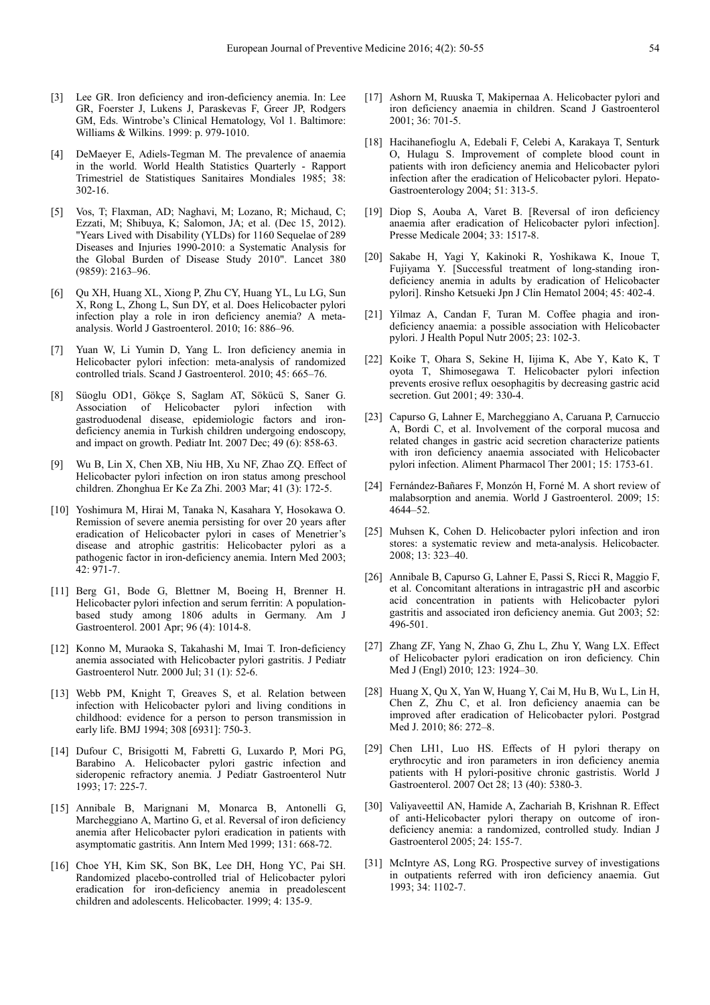- [3] Lee GR. Iron deficiency and iron-deficiency anemia. In: Lee GR, Foerster J, Lukens J, Paraskevas F, Greer JP, Rodgers GM, Eds. Wintrobe's Clinical Hematology, Vol 1. Baltimore: Williams & Wilkins. 1999: p. 979-1010.
- [4] DeMaeyer E, Adiels-Tegman M. The prevalence of anaemia in the world. World Health Statistics Quarterly - Rapport Trimestriel de Statistiques Sanitaires Mondiales 1985; 38: 302-16.
- [5] Vos, T; Flaxman, AD; Naghavi, M; Lozano, R; Michaud, C; Ezzati, M; Shibuya, K; Salomon, JA; et al. (Dec 15, 2012). "Years Lived with Disability (YLDs) for 1160 Sequelae of 289 Diseases and Injuries 1990-2010: a Systematic Analysis for the Global Burden of Disease Study 2010". Lancet 380 (9859): 2163–96.
- [6] Qu XH, Huang XL, Xiong P, Zhu CY, Huang YL, Lu LG, Sun X, Rong L, Zhong L, Sun DY, et al. Does Helicobacter pylori infection play a role in iron deficiency anemia? A metaanalysis. World J Gastroenterol. 2010; 16: 886–96.
- [7] Yuan W, Li Yumin D, Yang L. Iron deficiency anemia in Helicobacter pylori infection: meta-analysis of randomized controlled trials. Scand J Gastroenterol. 2010; 45: 665–76.
- [8] Süoglu OD1, Gökçe S, Saglam AT, Sökücü S, Saner G. Association of Helicobacter pylori infection with gastroduodenal disease, epidemiologic factors and irondeficiency anemia in Turkish children undergoing endoscopy, and impact on growth. Pediatr Int. 2007 Dec; 49 (6): 858-63.
- [9] Wu B, Lin X, Chen XB, Niu HB, Xu NF, Zhao ZQ. Effect of Helicobacter pylori infection on iron status among preschool children. Zhonghua Er Ke Za Zhi. 2003 Mar; 41 (3): 172-5.
- [10] Yoshimura M, Hirai M, Tanaka N, Kasahara Y, Hosokawa O. Remission of severe anemia persisting for over 20 years after eradication of Helicobacter pylori in cases of Menetrier's disease and atrophic gastritis: Helicobacter pylori as a pathogenic factor in iron-deficiency anemia. Intern Med 2003; 42: 971-7.
- [11] Berg G1, Bode G, Blettner M, Boeing H, Brenner H. Helicobacter pylori infection and serum ferritin: A populationbased study among 1806 adults in Germany. Am J Gastroenterol. 2001 Apr; 96 (4): 1014-8.
- [12] Konno M, Muraoka S, Takahashi M, Imai T. Iron-deficiency anemia associated with Helicobacter pylori gastritis. J Pediatr Gastroenterol Nutr. 2000 Jul; 31 (1): 52-6.
- [13] Webb PM, Knight T, Greaves S, et al. Relation between infection with Helicobacter pylori and living conditions in childhood: evidence for a person to person transmission in early life. BMJ 1994; 308 [6931]: 750-3.
- [14] Dufour C, Brisigotti M, Fabretti G, Luxardo P, Mori PG, Barabino A. Helicobacter pylori gastric infection and sideropenic refractory anemia. J Pediatr Gastroenterol Nutr 1993; 17: 225-7.
- [15] Annibale B, Marignani M, Monarca B, Antonelli G, Marcheggiano A, Martino G, et al. Reversal of iron deficiency anemia after Helicobacter pylori eradication in patients with asymptomatic gastritis. Ann Intern Med 1999; 131: 668-72.
- [16] Choe YH, Kim SK, Son BK, Lee DH, Hong YC, Pai SH. Randomized placebo-controlled trial of Helicobacter pylori eradication for iron-deficiency anemia in preadolescent children and adolescents. Helicobacter. 1999; 4: 135-9.
- [17] Ashorn M, Ruuska T, Makipernaa A. Helicobacter pylori and iron deficiency anaemia in children. Scand J Gastroenterol 2001; 36: 701-5.
- [18] Hacihanefioglu A, Edebali F, Celebi A, Karakaya T, Senturk O, Hulagu S. Improvement of complete blood count in patients with iron deficiency anemia and Helicobacter pylori infection after the eradication of Helicobacter pylori. Hepato-Gastroenterology 2004; 51: 313-5.
- [19] Diop S, Aouba A, Varet B, [Reversal of iron deficiency] anaemia after eradication of Helicobacter pylori infection]. Presse Medicale 2004; 33: 1517-8.
- [20] Sakabe H, Yagi Y, Kakinoki R, Yoshikawa K, Inoue T, Fujiyama Y. [Successful treatment of long-standing irondeficiency anemia in adults by eradication of Helicobacter pylori]. Rinsho Ketsueki Jpn J Clin Hematol 2004; 45: 402-4.
- [21] Yilmaz A, Candan F, Turan M. Coffee phagia and irondeficiency anaemia: a possible association with Helicobacter pylori. J Health Popul Nutr 2005; 23: 102-3.
- [22] Koike T, Ohara S, Sekine H, Iijima K, Abe Y, Kato K, T oyota T, Shimosegawa T. Helicobacter pylori infection prevents erosive reflux oesophagitis by decreasing gastric acid secretion. Gut 2001; 49: 330-4.
- [23] Capurso G, Lahner E, Marcheggiano A, Caruana P, Carnuccio A, Bordi C, et al. Involvement of the corporal mucosa and related changes in gastric acid secretion characterize patients with iron deficiency anaemia associated with Helicobacter pylori infection. Aliment Pharmacol Ther 2001; 15: 1753-61.
- [24] Fernández-Bañares F, Monzón H, Forné M. A short review of malabsorption and anemia. World J Gastroenterol. 2009; 15: 4644–52.
- [25] Muhsen K, Cohen D. Helicobacter pylori infection and iron stores: a systematic review and meta-analysis. Helicobacter. 2008; 13: 323–40.
- [26] Annibale B, Capurso G, Lahner E, Passi S, Ricci R, Maggio F, et al. Concomitant alterations in intragastric pH and ascorbic acid concentration in patients with Helicobacter pylori gastritis and associated iron deficiency anemia. Gut 2003; 52: 496-501.
- [27] Zhang ZF, Yang N, Zhao G, Zhu L, Zhu Y, Wang LX. Effect of Helicobacter pylori eradication on iron deficiency. Chin Med J (Engl) 2010; 123: 1924–30.
- [28] Huang X, Qu X, Yan W, Huang Y, Cai M, Hu B, Wu L, Lin H, Chen Z, Zhu C, et al. Iron deficiency anaemia can be improved after eradication of Helicobacter pylori. Postgrad Med J. 2010; 86: 272–8.
- [29] Chen LH1, Luo HS. Effects of H pylori therapy on erythrocytic and iron parameters in iron deficiency anemia patients with H pylori-positive chronic gastristis. World J Gastroenterol. 2007 Oct 28; 13 (40): 5380-3.
- [30] Valiyaveettil AN, Hamide A, Zachariah B, Krishnan R. Effect of anti-Helicobacter pylori therapy on outcome of irondeficiency anemia: a randomized, controlled study. Indian J Gastroenterol 2005; 24: 155-7.
- [31] McIntyre AS, Long RG. Prospective survey of investigations in outpatients referred with iron deficiency anaemia. Gut 1993; 34: 1102-7.